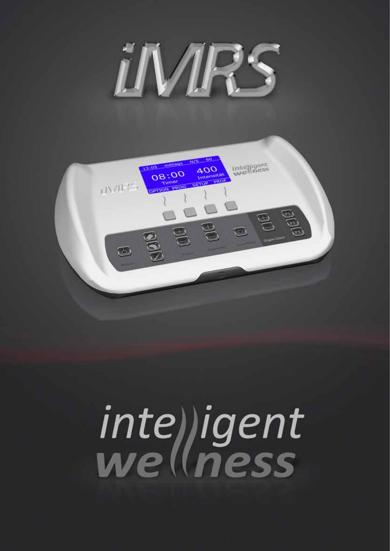



# inte) jgent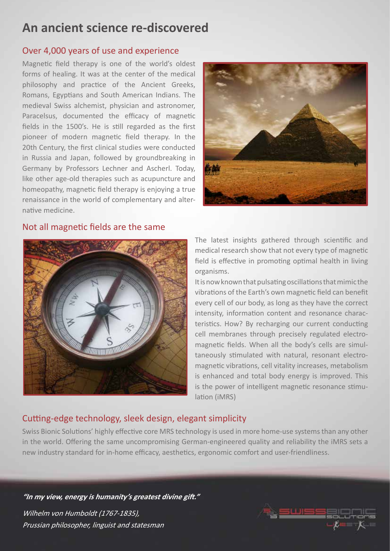## **An ancient science re-discovered**

#### Over 4,000 years of use and experience

Magnetic field therapy is one of the world's oldest forms of healing. It was at the center of the medical philosophy and practice of the Ancient Greeks, Romans, Egyptians and South American Indians. The medieval Swiss alchemist, physician and astronomer, Paracelsus, documented the efficacy of magnetic fields in the 1500's. He is still regarded as the first pioneer of modern magnetic field therapy. In the 20th Century, the first clinical studies were conducted in Russia and Japan, followed by groundbreaking in Germany by Professors Lechner and Ascherl. Today, like other age-old therapies such as acupuncture and homeopathy, magnetic field therapy is enjoying a true renaissance in the world of complementary and alternative medicine.



#### Not all magnetic fields are the same



The latest insights gathered through scientific and medical research show that not every type of magnetic field is effective in promoting optimal health in living organisms.

It is now known that pulsating oscillations that mimic the vibrations of the Earth's own magnetic field can benefit every cell of our body, as long as they have the correct intensity, information content and resonance characteristics. How? By recharging our current conducting cell membranes through precisely regulated electromagnetic fields. When all the body's cells are simultaneously stimulated with natural, resonant electromagnetic vibrations, cell vitality increases, metabolism is enhanced and total body energy is improved. This is the power of intelligent magnetic resonance stimulation (iMRS)

## Cutting-edge technology, sleek design, elegant simplicity

Swiss Bionic Solutions' highly effective core MRS technology is used in more home-use systems than any other in the world. Offering the same uncompromising German-engineered quality and reliability the iMRS sets a new industry standard for in-home efficacy, aesthetics, ergonomic comfort and user-friendliness.

**"In my view, energy is humanity's greatest divine gift."** Wilhelm von Humboldt (1767-1835), Prussian philosopher, linguist and statesman

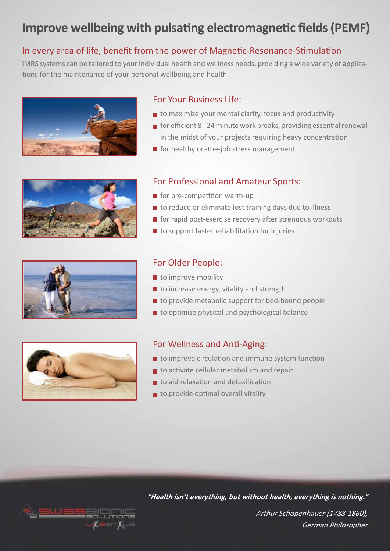# **Improve wellbeing with pulsating electromagnetic fields (PEMF)**

## In every area of life, benefit from the power of Magnetic-Resonance-Stimulation

iMRS systems can be tailored to your individual health and wellness needs, providing a wide variety of applications for the maintenance of your personal wellbeing and health.







#### For Your Business Life:

- $\blacksquare$  to maximize your mental clarity, focus and productivity
- for efficient 8 24 minute work breaks, providing essential renewal in the midst of your projects requiring heavy concentration
- $\blacksquare$  for healthy on-the-job stress management

#### For Professional and Amateur Sports:

- $\blacksquare$  for pre-competition warm-up
- $\blacksquare$  to reduce or eliminate lost training days due to illness
- $\blacksquare$  for rapid post-exercise recovery after strenuous workouts
- $\blacksquare$  to support faster rehabilitation for injuries



## For Older People:

- to improve mobility
- $\blacksquare$  to increase energy, vitality and strength
- $\blacksquare$  to provide metabolic support for bed-bound people
- to optimize physical and psychological balance



## For Wellness and Anti-Aging:

- to improve circulation and immune system function
- $\blacksquare$  to activate cellular metabolism and repair
- to aid relaxation and detoxification
- $\blacksquare$  to provide optimal overall vitality



**"Health isn't everything, but without health, everything is nothing."**

Arthur Schopenhauer (1788-1860), German Philosopher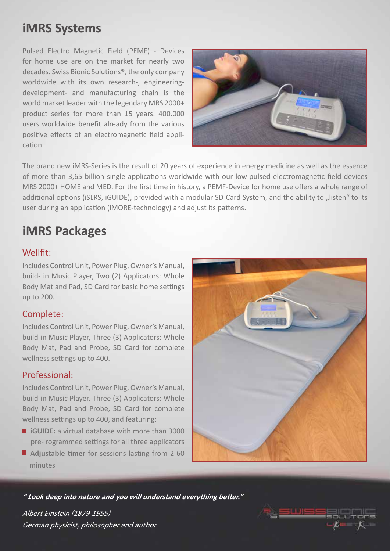# **iMRS Systems**

Pulsed Electro Magnetic Field (PEMF) - Devices for home use are on the market for nearly two decades. Swiss Bionic Solutions®, the only company worldwide with its own research-, engineeringdevelopment- and manufacturing chain is the world market leader with the legendary MRS 2000+ product series for more than 15 years. 400.000 users worldwide benefit already from the various positive effects of an electromagnetic field application.



The brand new iMRS-Series is the result of 20 years of experience in energy medicine as well as the essence of more than 3,65 billion single applications worldwide with our low-pulsed electromagnetic field devices MRS 2000+ HOME and MED. For the first time in history, a PEMF-Device for home use offers a whole range of additional options (iSLRS, iGUIDE), provided with a modular SD-Card System, and the ability to "listen" to its user during an application (iMORE-technology) and adjust its patterns.

# **iMRS Packages**

## Wellfit:

Includes Control Unit, Power Plug, Owner's Manual, build- in Music Player, Two (2) Applicators: Whole Body Mat and Pad, SD Card for basic home settings up to 200.

## Complete:

Includes Control Unit, Power Plug, Owner's Manual, build-in Music Player, Three (3) Applicators: Whole Body Mat, Pad and Probe, SD Card for complete wellness settings up to 400.

#### Professional:

Includes Control Unit, Power Plug, Owner's Manual, build-in Music Player, Three (3) Applicators: Whole Body Mat, Pad and Probe, SD Card for complete wellness settings up to 400, and featuring:

- **iGUIDE:** a virtual database with more than 3000 pre- rogrammed settings for all three applicators
- **Adjustable timer** for sessions lasting from 2-60 minutes



**" Look deep into nature and you will understand everything better."**

Albert Einstein (1879-1955) German physicist, philosopher and author

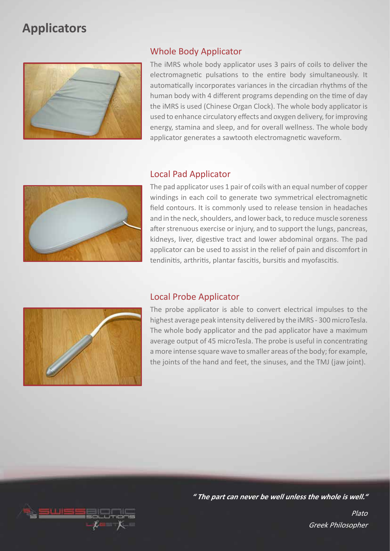## **Applicators**



#### Whole Body Applicator

The iMRS whole body applicator uses 3 pairs of coils to deliver the electromagnetic pulsations to the entire body simultaneously. It automatically incorporates variances in the circadian rhythms of the human body with 4 different programs depending on the time of day the iMRS is used (Chinese Organ Clock). The whole body applicator is used to enhance circulatory effects and oxygen delivery, for improving energy, stamina and sleep, and for overall wellness. The whole body applicator generates a sawtooth electromagnetic waveform.



#### Local Pad Applicator

The pad applicator uses 1 pair of coils with an equal number of copper windings in each coil to generate two symmetrical electromagnetic field contours. It is commonly used to release tension in headaches and in the neck, shoulders, and lower back, to reduce muscle soreness after strenuous exercise or injury, and to support the lungs, pancreas, kidneys, liver, digestive tract and lower abdominal organs. The pad applicator can be used to assist in the relief of pain and discomfort in tendinitis, arthritis, plantar fascitis, bursitis and myofascitis.



#### Local Probe Applicator

The probe applicator is able to convert electrical impulses to the highest average peak intensity delivered by the iMRS - 300 microTesla. The whole body applicator and the pad applicator have a maximum average output of 45 microTesla. The probe is useful in concentrating a more intense square wave to smaller areas of the body; for example, the joints of the hand and feet, the sinuses, and the TMJ (jaw joint).



**" The part can never be well unless the whole is well."**

Plato Greek Philosopher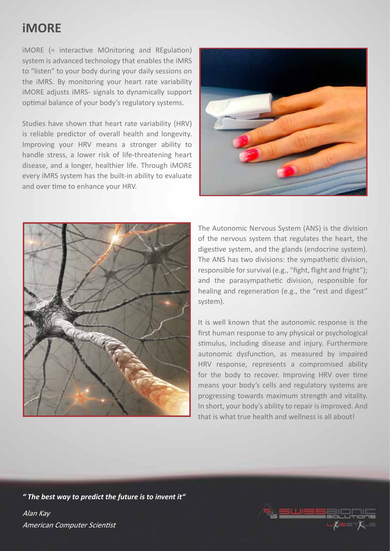## **iMORE**

iMORE (= interactive MOnitoring and REgulation) system is advanced technology that enables the iMRS to "listen" to your body during your daily sessions on the iMRS. By monitoring your heart rate variability iMORE adjusts iMRS- signals to dynamically support optimal balance of your body's regulatory systems.

Studies have shown that heart rate variability (HRV) is reliable predictor of overall health and longevity. Improving your HRV means a stronger ability to handle stress, a lower risk of life-threatening heart disease, and a longer, healthier life. Through iMORE every iMRS system has the built-in ability to evaluate and over time to enhance your HRV.





The Autonomic Nervous System (ANS) is the division of the nervous system that regulates the heart, the digestive system, and the glands (endocrine system). The ANS has two divisions: the sympathetic division, responsible for survival (e.g., "fight, flight and fright"); and the parasympathetic division, responsible for healing and regeneration (e.g., the "rest and digest" system).

It is well known that the autonomic response is the first human response to any physical or psychological stimulus, including disease and injury. Furthermore autonomic dysfunction, as measured by impaired HRV response, represents a compromised ability for the body to recover. Improving HRV over time means your body's cells and regulatory systems are progressing towards maximum strength and vitality. In short, your body's ability to repair is improved. And that is what true health and wellness is all about!

*" The best way to predict the future is to invent it"* Alan Kay American Computer Scientist

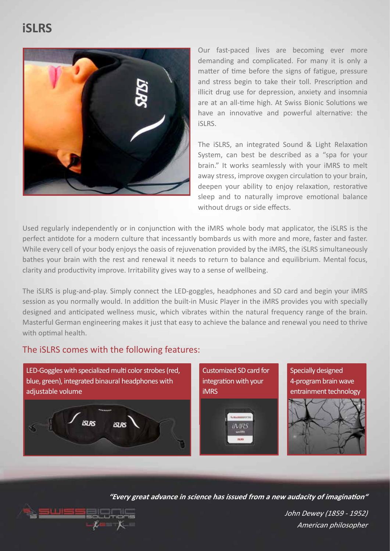# **iSLRS**



Our fast-paced lives are becoming ever more demanding and complicated. For many it is only a matter of time before the signs of fatigue, pressure and stress begin to take their toll. Prescription and illicit drug use for depression, anxiety and insomnia are at an all-time high. At Swiss Bionic Solutions we have an innovative and powerful alternative: the iSLRS.

The iSLRS, an integrated Sound & Light Relaxation System, can best be described as a "spa for your brain." It works seamlessly with your iMRS to melt away stress, improve oxygen circulation to your brain, deepen your ability to enjoy relaxation, restorative sleep and to naturally improve emotional balance without drugs or side effects.

Used regularly independently or in conjunction with the iMRS whole body mat applicator, the iSLRS is the perfect antidote for a modern culture that incessantly bombards us with more and more, faster and faster. While every cell of your body enjoys the oasis of rejuvenation provided by the iMRS, the iSLRS simultaneously bathes your brain with the rest and renewal it needs to return to balance and equilibrium. Mental focus, clarity and productivity improve. Irritability gives way to a sense of wellbeing.

The iSLRS is plug-and-play. Simply connect the LED-goggles, headphones and SD card and begin your iMRS session as you normally would. In addition the built-in Music Player in the iMRS provides you with specially designed and anticipated wellness music, which vibrates within the natural frequency range of the brain. Masterful German engineering makes it just that easy to achieve the balance and renewal you need to thrive with optimal health.

## The iSLRS comes with the following features:

LED-Goggles with specialized multi color strobes (red, blue, green), integrated binaural headphones with adjustable volume **SLRS**  $SIRS$ 

Customized SD card for integration with your iMRS



Specially designed 4-program brain wave entrainment technology



**"Every great advance in science has issued from a new audacity of imagination"**



John Dewey (1859 - 1952) American philosopher